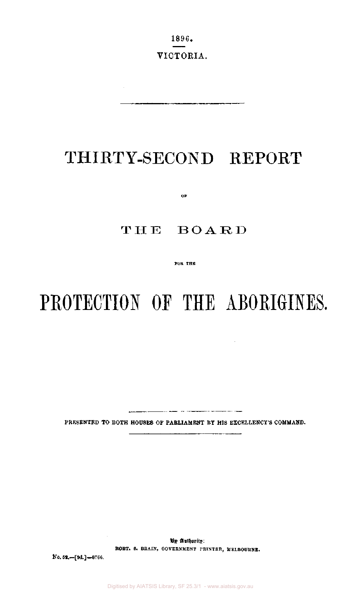1896. VICTORIA.

 $\mathcal{A}^{\mathcal{A}}$ 

## THIRTY-SECOND REPORT

0F

## THE BOARD

FOR THE

# PROTECTION OF THE ABORIGINES.

 $\sim$ 

PRESENTED TO BOTH HOUSES OF PARLIAMENT BY HIS EXCELLENCY'S COMMAND.

----

**By Authority: ROBT. S. BRAIN, GOVERNMENT PRINTER, MELBOURNE.** 

**No. 52.—[9d.]—8766.**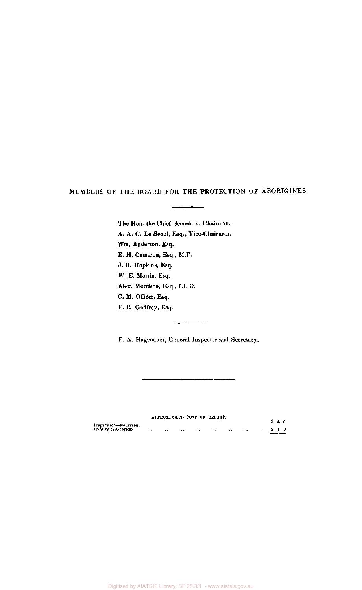MEMBERS OF THE BOARD FOR THE PROTECTION OF ABORIGINES.

The Hon. the Chief Secretary, Chairman. A. A. C. Le Souef, Esq., Vice-Chairman. Wm. Anderson, Esq. E. H. Cameron, Esq., M.P. J. R. Hopkins, Esq. W. E. Morris, Esq. Alex. Morrison, Esq., LL.D. C. M. Officer, Esq. F. R. Godfrey, Esq.

F. A. Hagenauer, General Inspector and Secretary.

L,

#### APPROXIMATE COST OF REPORT.

|                                                 |                      |                      | APPROXIMATE COST OF REPORT. |         |                      |                  | £ s. d. |  |
|-------------------------------------------------|----------------------|----------------------|-----------------------------|---------|----------------------|------------------|---------|--|
| Preparation-Not given.<br>Printing (790 copies) | $\ddot{\phantom{1}}$ | <br>$\ddot{\bullet}$ | $\ddot{\phantom{0}}$        | $^{+1}$ | <br>$\bullet\bullet$ | $\therefore$ 850 |         |  |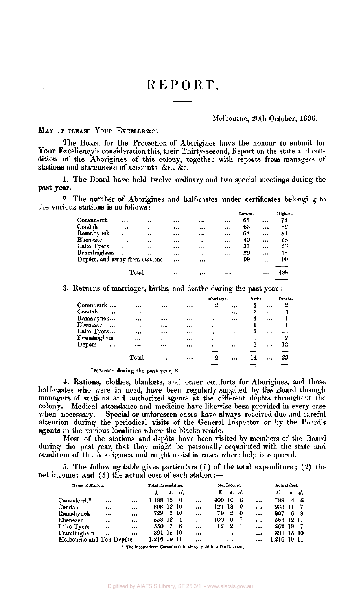## REPORT.

#### Melbourne, 20th October, 1896.

MAY IT PLEASE YOUR EXCELLENCY,

The Board for the Protection of Aborigines have the honour to submit for Your Excellency's consideration this, their Thirty-second, Report on the state and condition of the Aborigines of this colony, together with reports from managers of stations and statements of accounts, &c, &c.

1. The Board have held twelve ordinary and two special meetings during the past year.

2. The number of Aborigines and half-castes under certificates belonging to the various stations is as follows:—

|                                |          |          |          |          |           | Lowest. |          | Highest. |
|--------------------------------|----------|----------|----------|----------|-----------|---------|----------|----------|
| Coranderrk                     |          |          |          |          | $\cdots$  | 65      |          | 74       |
| Condah                         | $\cdots$ |          |          |          |           | 63      |          | 82       |
| Ramahyuck                      | $\cdots$ |          |          |          | $\cdots$  | 68      | $\cdots$ | 83       |
| Ebenezer                       |          |          |          | $\cdots$ | $\ddotsc$ | 40      |          | 58       |
| Lake Tyers                     |          | $\cdots$ | $***$    |          |           | 37      |          | 56       |
| Framlingham                    | $\cdots$ |          |          | $\cdots$ | $\cdots$  | 29      | $\cdots$ | 36       |
| Depôts, and away from stations |          |          | $\cdots$ |          | $\cdots$  | 99      | $\cdots$ | 99       |
|                                | Total    |          | $\cdots$ |          |           |         |          | 488      |
|                                |          |          |          |          |           |         |          |          |

3. Returns of marriages, births, and deaths during the past year  $:$ 

|                                  |       |          |          | Marriages. |          | Births, |          | Deaths. |
|----------------------------------|-------|----------|----------|------------|----------|---------|----------|---------|
| Coranderrk                       |       |          | $\cdots$ | 2          |          | 2       |          | 2       |
| Condah<br>$\cdots$               |       |          |          |            |          | 3       |          | 4       |
| Ramahyuck                        |       |          |          |            |          | 4       | $\cdots$ |         |
| Ebenezer<br>$\ddot{\phantom{0}}$ |       |          | 1.11     | $\cdots$   | $\cdots$ |         |          |         |
| Lake Tyers                       |       |          | $\cdots$ |            | $\cdots$ | 2       |          |         |
| Framlingham                      |       | $***$    |          |            |          |         | $\cdots$ | -2      |
| Depôts<br>$\ddotsc$              |       |          |          | $\cdots$   | $\cdots$ | 2       |          | 12      |
|                                  |       |          |          |            |          |         |          |         |
|                                  | Total | $\cdots$ |          | 2          |          | 14      |          | 22      |
|                                  |       |          |          |            |          |         |          |         |

Decrease during the past year, 8.

4. Rations, clothes, blankets, and other comforts for Aborigines, and those half-castes who were in need, have been regularly supplied by the Board through managers of stations and authorized agents at the different dep6ts throughout the colony. Medical attendance and medicine have likewise been provided in every case when necessary. Special or unforeseen cases have always received due and careful attention during the periodical visits of the General Inspector or by the Board's agents in the various localities where the blacks reside.

Most of the stations and depôts have been visited by members of the Board during the past year, that they might be personally acquainted with the state and condition of the Aborigines, and might assist in cases where help is required.

5. The following table gives particulars (1) of the total expenditure ; (2) the net income; and (3) the actual cost of each station: —

| Name of Station.         |          |           | Total Expenditure. |     |                | Net Income, |         |          |      |           | Actual Cost. |   |       |  |
|--------------------------|----------|-----------|--------------------|-----|----------------|-------------|---------|----------|------|-----------|--------------|---|-------|--|
|                          |          |           | £                  | đ., | d.             |             | £       | s. d.    |      |           | £            |   | s. d. |  |
| Coranderrk*              |          | $\ddotsc$ | 1.198 15           |     | - 0            | $\cdots$    | 409 10  |          | - 6  |           | 789          | 4 | -6    |  |
| Condah                   | $\cdots$ |           | 808 12 10          |     |                | $\ddotsc$   | 124-18- |          | - 9  | $\ddotsc$ | 933 11       |   |       |  |
| Ramahyuck                |          |           | 729.               |     | 3 10           | $\cdots$    | 79.     |          | 2 10 |           | 807          | 6 | - 8   |  |
| Ebenezer                 | $\cdots$ |           | 553 12             |     | $\overline{4}$ | $\cdots$    | 100.    | 0        | -7   | $\cdots$  | 563 12 11    |   |       |  |
| Lake Tyers               | $\cdots$ | $\cdots$  | 550 17             |     | - 6            | $\cdots$    | 12      | 2        |      | $\cdots$  | 562 19       |   |       |  |
| Framlingham              | $\cdots$ |           | 391 15 10          |     |                | $\cdots$    |         | $\cdots$ |      |           | 391 15 10    |   |       |  |
| Melbourne and Ten Depôts |          |           | 1,216 19 11        |     |                |             |         | $\cdots$ |      |           |              |   |       |  |

The income from Coranderrk is always paid into the Revenue,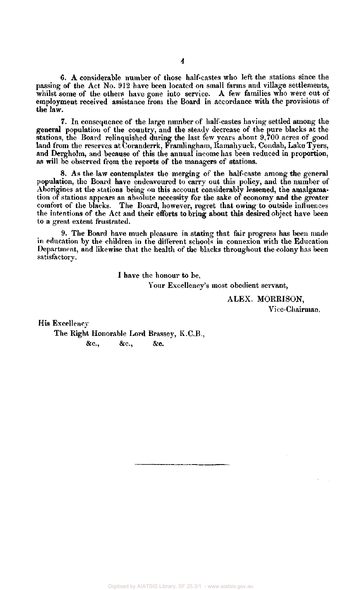6. A considerable number of those half-castes who left the stations since the passing of the Act No. 912 have been located on small farms and village settlements, whilst some of the others have gone into service. A few families who were out of employment received assistance from the Board in accordance with the provisions of the law.

7. In consequence of the large number of half-castes having settled among the general population of the country, and the steady decrease of the pure blacks at the stations, the Board relinquished during the last few years about 9,700 acres of good land from the reserves at Coranderrk, Framlingham, Ramahyuck, Condah, Lake Tyers, and Dergholm, and because of this the annual income has been reduced in proportion, as will be observed from the reports of the managers of stations.

8. As the law contemplates the merging of the half-caste among the general population, the Board have endeavoured to carry out this policy, and the number of Aborigines at the stations being on this account considerably lessened, the amalgamation of stations appears an absolute necessity for the sake of economy and the greater comfort of the blacks. The Board, however, regret that owing to outside influences the intentions of the Act and their efforts to bring about this desired object have been to a great extent frustrated.

9. The Board have much pleasure in stating that fair progress has been made in education by the children in the different schools in connexion with the Education Department, and likewise that the health of the blacks throughout the colony has been satisfactory.

> I have the honour to be, Your Excellency's most obedient servant,

> > ALEX. MORRISON, Vice-Chairman,

His Excellency

The Right Honorable Lord Brassey, K.C.B., &c., &c., &c.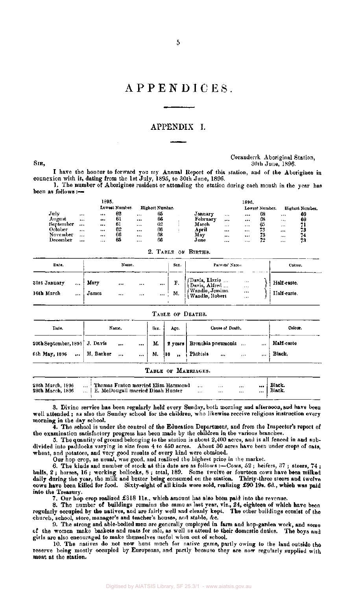### APPENDICES .

#### APPENDIX I.

#### Coranderrk Aboriginal Station,  $\text{SIR}$ ,  $30\text{th}$  June, 1896.

I have the honour to forward you my Annual Report of this station, and of the Aborigines in connexion with it, dating from the 1st July, 1895, to 30th June, 1896.

1. The number of Aborigines resident or attending the station during each month in the year has been as follows :—

|           | 1895.        |                |                 |          |          | 1896.    |                |      |                 |
|-----------|--------------|----------------|-----------------|----------|----------|----------|----------------|------|-----------------|
|           |              | Lowest Number. | Highest Number. |          |          |          | Lowest Number. |      | Highest Number. |
| July      | <br>         | 62             | <br>65          | January  |          |          | 68             |      | 69              |
| August    | <br>$\cdots$ | 61             | <br>66          | Februarv |          |          | 68             |      | 69              |
| September | <br>         | -61            | <br>62          | March    | $\cdots$ | $\cdots$ | ር ነ            | 1.11 |                 |
| October   | <br>         | 62             | <br>66          | April    | 1.14     | 111      | 73             |      | 73              |
| November  | <br>         | 66             | <br>68          | May      |          |          | 73             |      | 74              |
| December  | <br>         | 65             | <br>66          | June     | $\cdots$ | $\cdots$ | 72             |      | 73              |

2. TABLE OF BIRTHS.

| Date.                                      |               | Name.                |                      |                     | Sex.                          | Parents' Name.                                                                      |                                              | Colour.                    |
|--------------------------------------------|---------------|----------------------|----------------------|---------------------|-------------------------------|-------------------------------------------------------------------------------------|----------------------------------------------|----------------------------|
| 31st January<br>$\cdots$<br>16th March<br> | Mary<br>James | $\cdots$<br>$\cdots$ | $\cdots$<br>$\cdots$ | $\cdots$<br>ana (in | , $\mathbf{F}_{\tau}$ .<br>M. | [Davis, Lizzie ]<br>[Davis, Alfred ]<br><i>(Wandin, Jemima)</i><br>(Wandin, Robert) | $\sim$<br>$\cdots$<br>$\cdots$<br>$\sim$ 4.4 | Half-caste.<br>Half-caste. |

#### TABLE OF DEATHS.

| Date.                         | Name,                          | Sex. | Age. | Cause of Death.                                              | Colour.    |
|-------------------------------|--------------------------------|------|------|--------------------------------------------------------------|------------|
| 20th September, 1895 J. Davis | $\sim$ 100 $\mu$ 100 $\mu$<br> |      |      | M.   2 years   Bronchia pneumonia<br>                        | Half-caste |
| 6th May, 1896    H. Barker    | $\cdots$                       | М.   | 8,   | Phthisis<br><b>Contract Contract</b><br>$\cdots$<br>$\cdots$ | Black.     |

|  |  |  | TABLE OF MARRIAGES. |
|--|--|--|---------------------|
|--|--|--|---------------------|

| 28th March, 1896 |  | Thomas Fenton married Eliza Hammond         |          |       | $1 + 1$  | <br>Black.   |  |
|------------------|--|---------------------------------------------|----------|-------|----------|--------------|--|
| 28th March, 1896 |  | $\dots$   E. McDougall married Dinah Hunter | $\cdots$ | $***$ | $\cdots$ | <br>  Black. |  |
|                  |  |                                             |          |       |          |              |  |

3. Divine service has been regularly held every Sunday, both morning and afternoon,and have been well attended ; as also the Sunday school for the children, who likewise receive religious instruction every morning in the day school.

4. The school is under the control of the Education Department, and from the Inspector's report of the examination satisfactory progress has been made by the children in the various branches.

5. The quantity of ground belonging to the station is about 2,400 acres, and is all fenced in and subdivided into paddocks varying in size from 4 to 450 acres. About 30 acres have been under crops of oats, wheat, and potatoes, and very good results of every kind were obtained.

Our hop crop, as usual, was good, and realized the highest price in the market.

6. The kinds and number of stock at this date are as follows :—Cows, 52; heifers, 37; steers, 74; bulls, 2 ; horses, 16 ; working bullocks, 8 ; total, 189. Some twelve or fourteen cows have been milked daily during the year, the milk and butter being consumed on the station. Thirty-three steers and twelve cows have been killed for food. Sixty-eight of all kinds were sold, realizing £90 19s. 6d., which was paid into the Treasury.

7. Our hop crop realized £318 lls., which amount has also been paid into the revenue.

8. The number of buildings remains the same as last year, viz., 24, eighteen of which have been regularly occupied by the natives, and are fairly well and cleanly kept. The other buildings consist of the church, school, store, manager's and teacher's houses, and stable, &c.

9. The strong and able-bodied men are generally employed in farm and hop-garden work, and some of the women make baskets and mats for sale, as well as attend to their domestic duties. The boys and girls are also encouraged to make themselves useful when out of school.

10. The natives do not now hunt much for native game, partly owing to the land outside the reserve being mostly occupied by Europeans, and partly because they are now regularly supplied with meat at the station.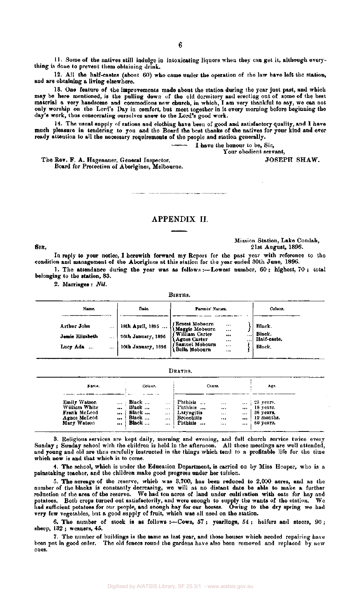11. Some of the natives still indulge in intoxicating liquors when they can get it, although everything is done to prevent them obtaining drink.

12. All the half-castes (about 60) who came under the operation of the law have left the station, and are obtaining a living elsewhere.

13. One feature of the improvements made about the station during the year just past, and which may be here mentioned, is the pulling down of the old dormitory and erecting out of some of the best material a very handsome and commodious new church, in which, I am very thankful to say, we can not only worship on the Lord's Day in comfort, but meet together in it every morning before beginning the day's work, thus consecrating ourselves anew to the Lord's good work.

14. The usual supply of rations and clothing have been of good and satisfactory quality, and I have much pleasure in tendering to you and the Board the best thanks of the natives for your kind and ever ready attention to all the necessary requirements of the people and station generally.

I have the honour to be, Sir,

Your obedient servant,

The Rev. F. A. Hagenauer, General Inspector,  $JOSEPH SHAW$ . Board for Protection of Aborigines, Melbourne.

APPENDIX II.

Mission Station, Lake Condah, 21st August, 1896.

In reply to your notice, I herewith forward my Report for the past year with reference to the condition and management of the Aborigines at this station for the year ended 30th June, 1896.

1. The attendance during the year was as follows :—Lowest number, 60 ; highest, 70 ; total belonging to the station, 83.

**BIPTIO** 

2. Marriages : *Nil.* 

|                  |       |                    | ---------                               |              |                      |                       |
|------------------|-------|--------------------|-----------------------------------------|--------------|----------------------|-----------------------|
| Name.            |       | Date.              | Parents' Names.                         |              |                      | Colour.               |
| Arthur John      |       | 18th April, 1895   | (Ernest Mobourn<br>  (Maggie Mobourn    | <br>         |                      | Black.                |
| Jessie Elizabeth | $***$ | 26th January, 1896 | f William Carter<br>Agnes Carter        | <br>$\cdots$ | $\cdots$<br>$\cdots$ | Black.<br>Half-caste. |
| Lucy Ada         |       | 10th January, 1896 | (Samuel Mobourn<br><b>Bella Mobourn</b> | 1.11<br>     |                      | Black.                |
|                  |       |                    |                                         |              |                      |                       |

|  |  | Deaths. |  |
|--|--|---------|--|
|  |  |         |  |

| Name.                                |              | Colour.        |                       | Cause.                        |                   |                                  | Age.                    |
|--------------------------------------|--------------|----------------|-----------------------|-------------------------------|-------------------|----------------------------------|-------------------------|
| <b>Emily Watson</b><br>William White |              | Black<br>Black | $\cdots$              | <b>Phthisis</b><br>l'hthisis  | $\cdots$          |                                  | $\ldots$ 25 years.      |
| Frank McLeod                         | $\cdots$<br> | Black          | $\cdots$<br>$\ddotsc$ | Laryngitis                    | <br>$+ + +$       | $\cdots$<br>$\ddot{\phantom{a}}$ | 18 years.<br>36 years.  |
| Agnes McLeod<br>Mary Watson          | $\cdots$<br> | Black<br>Black | <br>$\cdots$          | <b>Bronchitis</b><br>Phthisis | $\cdots$<br>$***$ | $\cdots$<br>$\cdots$             | 12 months.<br>60 years. |

3. Religious services are kept daily, morning and evening, and full church service twice every Sunday ; Sunday school with the children is held in the afternoon. All these meetings are well attended, and young and old are thus carefully instructed in the things which tend to a profitable life for the time which now is and that which is to come.

4. The school, which is under the Education Department, is carried on by Miss Hooper, who is a painstaking teacher, and the children make good progress under her tuition.

5. The acreage of the reserve, which was 3,700, has been reduced to 2,000 acres, and as the number of the blacks is constantly decreasing, we will at no distant date be able to make a further reduction of the area of the reserve. We had ten acres of land under cultivation with oats for hay and potatoes. Both crops turned out satisfactorily, and were enough to supply the wants of the station. We had sufficient potatoes for our people, and enough hay for our horses. Owing to the dry spring we had very few vegetables, but a good supply of fruit, which was all used on the station.

6. The number of stock is as follows :—Cows, 57 ; yearlings, 54 ; heifers and steers, 90 ; sheep, 132 ; weaners, 45.

7. The number of buildings is the same as last year, and those houses which needed repairing have been put in good order. The old fences round the gardens have also been removed and replaced by new ones.

SIR,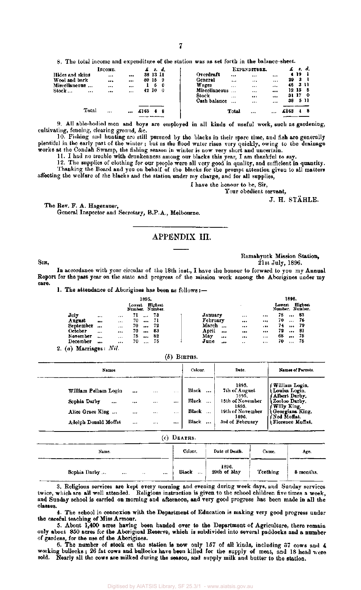8. The total income and expenditure of the station was as set forth in the balance-sheet.

|                     | INCOME.  | £        | -5.      | 4.  |                                  | EXPENDITURE. |          |      | \$.   | d.        |
|---------------------|----------|----------|----------|-----|----------------------------------|--------------|----------|------|-------|-----------|
| Hides and skins     |          |          | 38 13 Il |     | $$                               |              |          |      | 4 19  |           |
| Wool and bark       |          |          | 80 15    | 9   |                                  |              |          | 29   | -3    |           |
| Miscellaneous       | $\cdots$ |          |          | - 0 | $\cdots$                         | $\cdots$     | $\cdots$ | 46   |       | -3 L I    |
| Stock …<br>$\cdots$ |          |          | 42 10    | -0  | Miscellaneous<br>$\sim$ $\sim$ 4 |              |          |      | 12 15 | -8        |
|                     |          |          |          |     | $\cdots$                         | $\cdots$     |          | 31   | -17   | $\bullet$ |
|                     |          |          |          |     | Cash balance<br>                 |              | $- - -$  | 38   |       | -511      |
| Total               |          |          |          |     |                                  |              |          |      |       |           |
|                     |          | <br>£163 |          |     | Total                            |              |          | £163 |       | э         |
|                     |          |          |          |     |                                  |              |          |      |       |           |

9. All able-bodied men and boys are employed in all kinds of useful work, such as gardening, cultivating, fencing, clearing ground, &c.

10. Fishing and hunting are still pursued by the blacks in their spare time, and fish are generally plentiful in the early part of the winter ; but as the flood water rises very quickly, owing to the drainage works at the Condah Swamp, the fishing season in winter is now very short and uncertain.

11. I had no trouble with drunkenness among our blacks this year, I am thankful to say.

12. The supplies of clothing for our people were all very good in quality, and sufficient in quantity. Thanking the Board and you on behalf of the blacks for the prompt attention given to all matters

affecting the welfare of the blacks and the station under my charge, and for all supplies,

I have the honour to be, Sir,

Your obedient servant.

J. H. STAHLE.

The Rev. F. A. Hagenauer, General Inspector and Secretary, B.P.A., Melbourne.

#### APPENDIX III.

SIR,

Ramahyuck Mission Station, 21st July, 1896.

In accordance with your circular of the 18th inst., I have the honour to forward to you my Annual Report for the past year on the state and progress of the mission work among the Aborigines under my care.

1. The attendance of Aborigines has been as follows:—

|           |          |              |        | 1895.    |                            |                   |          |          |                           | 1896.    |         |
|-----------|----------|--------------|--------|----------|----------------------------|-------------------|----------|----------|---------------------------|----------|---------|
|           |          |              | Lowest |          | Highest<br>Number. Number. |                   |          |          | Lowest<br>Number. Number. |          | Highest |
| July      | $\cdots$ |              |        |          | 73                         | January           | $\cdots$ |          | 78                        |          | 83      |
| August    | $$       | 1.1.1        | 70     |          | -71                        | February          | $\cdots$ |          | 70                        | $\cdots$ | 76      |
| September | $-0.5$   |              | 70     |          | 72                         | March<br>$\cdots$ |          |          | 74                        |          | -79     |
| October   |          | $\cdots$     | 70     |          | -83                        | April<br>         |          |          | 72                        |          | 81      |
| November  |          |              | 75     | $\cdots$ | 82                         | May               |          |          | 68                        | $***$    | 75      |
| December  |          |              | 70     | $\cdots$ | 75                         | June<br>          | $\cdot$  | $\cdots$ | 70                        |          | 75      |
| .         |          | $\cdots$<br> |        |          |                            |                   | $\cdots$ |          |                           |          |         |

2. (a) Marriages: *Nil.* 

*(b)* BIRTHS.

| Names.                                                                               |                      |                                      |                                      | Colour.                                                                                       | Date.                                                                                                        | Names of Parents.                                                                                                                      |
|--------------------------------------------------------------------------------------|----------------------|--------------------------------------|--------------------------------------|-----------------------------------------------------------------------------------------------|--------------------------------------------------------------------------------------------------------------|----------------------------------------------------------------------------------------------------------------------------------------|
| William Pelham Login<br>Sophia Darby<br><br>Alice Grace King<br>Adolph Donald Moffat | <br><br><br>$\cdots$ | $\cdots$<br><br>$\cdots$<br>$\cdots$ | $\cdots$<br><br>$\cdots$<br>$\cdots$ | Black<br>$\ddotsc$<br>Black<br>$\ddot{\phantom{a}}$<br>Black<br>$\cdots$<br>Black<br>$\cdots$ | 1895.<br>7th of August<br>1895.<br>15th of November<br>1895.<br>19th of November<br>1896.<br>3rd of February | William Login,<br>Louisa Login.<br>Albert Darby.<br>Zooloo Darby,<br>Willy King.<br>Georgiana King.<br>Ned Moffat.<br>Florence Moffat. |

 $(c)$  DEATHS.

| Name.                                    | Colour. | Date of Death.       | Cause.          | Age.      |
|------------------------------------------|---------|----------------------|-----------------|-----------|
| Sophia Darby<br>$\cdots$<br>$\cdots$<br> | Black   | 1896.<br>20th of May | <b>Teething</b> | 8 months. |

3. Religious services are kept every morning and evening during week days, and Sunday services twice, which are all well attended. Religious instruction is given to the school children five times a week, and Sunday school is carried on morning and afternoon, and very good progress has been made in all the classes.

4. The school in connexion with the Department of Education is making very good progress under the careful teaching of Miss Armour.

5. About 1,400 acres having been handed over to the Department of Agriculture, there remain only about 850 acres for the Aboriginal Reserve, which is subdivided into several paddocks and a number of gardens, for the use of the Aborigines.

6. The number of stock on the station is now only 157 of all kinds, including 37 cows and 4 working bullocks; 26 fat cows and bullocks have been killed for the supply of meat, and 18 head  $_{\text{were}}$ sold. Nearly all the cows are milked during the season, and supply milk and butter to the station.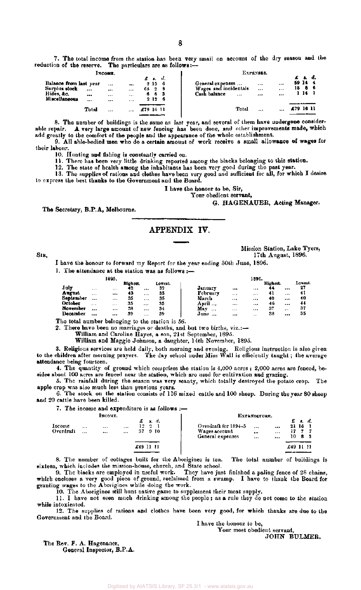7. The total income from the station has been very small on account of the dry season and the reduction of the reserve. The particulars are as follows:—

|                                                               | Іхсомв.   |          |                      |           |                     |          | EXPENSES.                                                                                                             |           |                          |    |  |  |  |
|---------------------------------------------------------------|-----------|----------|----------------------|-----------|---------------------|----------|-----------------------------------------------------------------------------------------------------------------------|-----------|--------------------------|----|--|--|--|
| Balance from last year<br>Surplus stoc <b>k</b><br>Hides, &c. | <br>      | <br><br> | <br>1.17<br>$\cdots$ | 68.<br>6. | £ s.<br>2156<br>-25 | d.<br>63 | General expenses<br><br>$\cdots$<br>Wages and incidentals<br>$\cdots$<br>$\cdots$<br>Cash balance<br><br><br>$\cdots$ | 18        | л.<br>59 14<br>86<br>114 | a. |  |  |  |
| Miscellaneous                                                 | <br>Total | $$<br>   | $\cdots$<br>$\cdots$ | £79 16 11 | 2126                |          | Total<br>$\cdots$<br>                                                                                                 | £79 16 11 |                          |    |  |  |  |

8. The number of buildings is the same as last year, and several of them have undergone considerable repair. A very large amount of new fencing has been done, and other improvements made, which add greatly to the comfort of the people and the appearance of the whole establishment.

9. All able-bodied men who do a certain amount of work receive a small allowance of wages for their labour.

10. Hunting and fishing is constantly carried on.

11. There has been very little drinking reported among the blacks belonging to this station.

12. The state of health among the inhabitants has been very good during the past year.

13. The supplies of rations and clothes have been very good and sufficient for all, for which I desire to express the best thanks to the Government and the Board.

I have the honour to be, Sir,

#### Your obedient servant.

#### G. HAGENAUER, Acting Manager.

The Secretary, B.P.A, Melbourne.

#### APPENDIX IV.

SIR,

Mission Station, Lake Tyers, 17th August, 1896.

I have the honour to forward my Report for the year ending 30th June, 1896.

1. The attendance at the station was as follows :—

|           |          | 1895. |          |         |         |                 |          | 1896.   |          |         |         |
|-----------|----------|-------|----------|---------|---------|-----------------|----------|---------|----------|---------|---------|
|           |          |       | Highest. |         | Lowest. |                 |          |         | Highest. |         | Lowest. |
| July      |          |       | 42       |         | 39      | January         |          |         | 44       |         | 27      |
| August    | $\cdots$ |       | 43       | $+ + 1$ | 35      | Februarv        |          |         | 41       |         | 41      |
| September |          |       | 35       |         | 35      | March           | $\cdots$ |         | 40       |         | 40      |
| October   | $\cdots$ | 1.1.4 | 35       |         | 35      | April           | $\cdots$ |         | 46       |         | 44      |
| November  |          |       | 38       |         | 34      | May<br>$\cdots$ | $+ + +$  |         | 37       | $7 + 1$ | 37      |
| December  |          |       | 39       |         | 39      | June            |          | $\cdot$ | 38       |         | 35      |
|           |          |       |          |         |         |                 |          |         |          |         |         |

The total number belonging to the station is 56.

2. There have been no marriages or deaths, and but two births, viz.:-

William and Caroline Hayes, a son, 21st September, 1895.

William and Maggie Johnson, a daughter, 14th November, 1895.

3. Religious services are held daily, both morning and evening. Religious instruction is also given to the children after morning prayers. The day school under Miss Wall is efficiently taught; the average attendance being fourteen.

4. The quantity of ground which comprises the station is 4,000 acres ; 2,000 acres are fenced, besides about 100 acres are fenced near the station, which are used for cultivation and grazing.

5. The rainfall during the season was very scanty, which totally destroyed the potato crop. The apple crop was also much less than previous years.

6. The stock on the station consists of 116 mixed cattle and 100 sheep. During the year 80 sheep and 20 cattle have been killed.

7. The income and expenditure is as follows :—

| Інсоме.             |              |      |                      |           |          |              | EXPANDITURE.                                                                               |           |                  |    |
|---------------------|--------------|------|----------------------|-----------|----------|--------------|--------------------------------------------------------------------------------------------|-----------|------------------|----|
| Income<br>Overdraft | $\cdots$<br> | <br> | $\cdots$<br>$\cdots$ | 12<br>37  | $\Omega$ | . d.<br>-910 | Overdraft for 1894-5<br><br><br>Wages account<br>$\bullet$<br><br>General expenses<br><br> | 10        | - s. d.<br>21 16 | 83 |
|                     |              |      |                      | £49 11 11 |          |              |                                                                                            | £49 11 11 |                  |    |

8. The number of cottages built for the Aborigines is ten. The total number of buildings is sixteen, which includes the mission-house, church, and State school.

9. The blacks are employed in useful work. They have just finished a paling fence of 28 chains, which encloses a very good piece of ground, reclaimed from a swamp. I have to thank the Board for granting wages to the Aborigines while doing the work.

10. The Aborigines still hunt native game to supplement their meat supply.

11. I have not seen much drinking among the people ; as a rule they do not come to the station while intoxicated.

12. The supplies of rations and clothes have been very good, for which thanks are due to the Government and the Board.

I have the honour to be,

Your most obedient servant, JOHN BULMER.

The Rev. F. A. Hagenauer, General Inspector, B.P.A.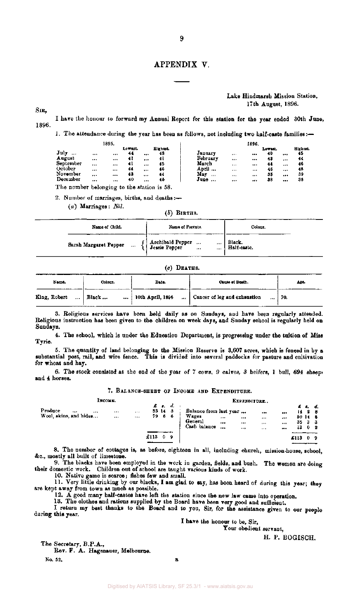#### APPENDIX V.

#### Lake Hindmarsh Mission Station. 17th August, 1896.

SIR,

1896. I have the honour to forward my Annual Report for this station for the year ended 30th June,

1. The attendance during the year has been as follows, not including two half-caste families:—

| Eighest.<br>Lowest.<br>Lowest.                                                             |                              |       | 1895. |    |        |         |          | 1896. |    |                    |
|--------------------------------------------------------------------------------------------|------------------------------|-------|-------|----|--------|---------|----------|-------|----|--------------------|
|                                                                                            | $\mathbf{J}$ uly<br>$\cdots$ | $***$ |       | 44 | <br>48 | January | $\cdots$ | $$    | 40 | <br>Highest.<br>45 |
| Februarv<br>41<br>August<br>41<br>44<br>43<br>$\cdots$<br><br><br><br><br>                 |                              |       |       |    |        |         |          |       |    |                    |
| September<br>March<br>41<br>45<br>46<br>44<br><br>$\cdots$<br><br><br><br>1.14             |                              |       |       |    |        |         |          |       |    |                    |
| April<br>October<br>44<br>46<br>48<br>46<br><br>$***$<br><br>$\cdots$<br><br>              |                              |       |       |    |        |         |          |       |    |                    |
| November<br>Мау<br>43<br>35<br>39<br>44<br>$\cdots$<br><br>$\cdots$<br><br><br>$1 + 1$<br> |                              |       |       |    |        |         |          |       |    |                    |
| December<br>38<br>40<br>88<br>46<br>June<br><br>$***$<br><br><br><br>$\cdots$              |                              |       |       |    |        |         |          |       |    |                    |

The number belonging to the station is 58.

2. Number of marriages, births, and deaths:—

(a) Marriages: *Nil.* 

*(b)* BIRTHS.

| Name of Child.                    | Name of Parents.                 | Colour.               |
|-----------------------------------|----------------------------------|-----------------------|
| Sarah Margaret Pepper<br>$\cdots$ | {  Archibald Pepper<br>$-11$<br> | Black.<br>Half-caste. |

#### $(c)$  DEATHS.

| Name.        | Colour.                   | Date.            | Cause of Death.                          | Are. |
|--------------|---------------------------|------------------|------------------------------------------|------|
| King, Robert | $\ldots$   Black $\ldots$ | 10th April, 1896 | Cancer of leg and exhaustion<br>$ + 70.$ |      |

3. Religious services have been held daily as on Sundays, and have been regularly attended. Religious instruction has been given to the children on week days, and Sunday school is regularly held on Sundays.

4. The school, which is under the Education Department, is progressing under the tuition of Miss Tyrie.

5. The quantity of land belonging to the Mission Reserve is 3,607 acres, which is fenced in by a substantial post, rail, and wire fence. This is divided into several paddocks for pasture and cultivation for wheat and hay.

6. The stock consisted at the end of the year of 7 cows, 9 calves, 3 heifers, 1 bull, 694 sheep, and 4 horses.

#### 7. BALANCE-SHEET OF INCOME AND EXPENDITURE.

| INCOME.                                           | EIPENDITURE  |              |      |                              |   |                                                            |                  |               |                                              |                   |                |                                      |                |
|---------------------------------------------------|--------------|--------------|------|------------------------------|---|------------------------------------------------------------|------------------|---------------|----------------------------------------------|-------------------|----------------|--------------------------------------|----------------|
| Produce<br><br>$\cdots$<br>Wool, skins, and hides | <br>$\cdots$ | $\cdots$<br> |      | £ 1. d.<br>33 14 3<br>79 6 6 |   | Balance from last year<br>Wages<br>General<br>Cash balance | $\cdots$<br><br> | $***$<br><br> | $\cdots$<br>$\cdots$<br>$\cdots$<br>$\cdots$ | <br><br>$***$<br> | 35<br>13       | £ 1. d.<br>$14$ 2 8<br>50 14 8<br>33 | 0 <sub>2</sub> |
|                                                   |              |              | £113 | $\mathbf{0}$                 | 9 |                                                            |                  |               |                                              |                   | £113<br>______ | 0                                    | -9             |

8. The number of cottages is, as before, eighteen in all, including church, mission-house, school, &c, mostly all built of limestone.

9. The blacks have been employed in the work in garden, fields, and bush. The women are doing their domestic work. Children out of school are taught various kinds of work.

10. Native game is scarce; fishes few and small.

11. "Very little drinking by our blacks, I am glad to say, has been heard of during this year; they are kept away from town as much as possible.

12. A good many half-castes have left the station since the new law came into operation.

13. The clothes and rations supplied by the Board have been very good and sufficient.

I return my best thanks to the Board and to you, Sir, for the assistance given to our people during this year.

#### I have the honour to be, Sir,

Your obedient servant,

H. P. BOGISCH.

The Secretary, B.P.A., Rev. F. A. Hagenauer, Melbourne.

No. 52.

в